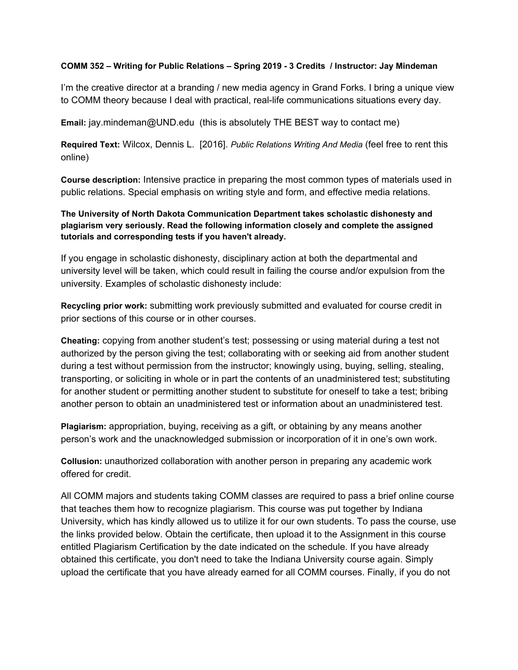## **COMM 352 – Writing for Public Relations – Spring 2019 - 3 Credits / Instructor: Jay Mindeman**

I'm the creative director at a branding / new media agency in Grand Forks. I bring a unique view to COMM theory because I deal with practical, real-life communications situations every day.

**Email:** jay.mindeman@UND.edu (this is absolutely THE BEST way to contact me)

**Required Text:** Wilcox, Dennis L. [2016]. *Public Relations Writing And Media* (feel free to rent this online)

**Course description:** Intensive practice in preparing the most common types of materials used in public relations. Special emphasis on writing style and form, and effective media relations.

**The University of North Dakota Communication Department takes scholastic dishonesty and plagiarism very seriously. Read the following information closely and complete the assigned tutorials and corresponding tests if you haven't already.**

If you engage in scholastic dishonesty, disciplinary action at both the departmental and university level will be taken, which could result in failing the course and/or expulsion from the university. Examples of scholastic dishonesty include:

**Recycling prior work:** submitting work previously submitted and evaluated for course credit in prior sections of this course or in other courses.

**Cheating:** copying from another student's test; possessing or using material during a test not authorized by the person giving the test; collaborating with or seeking aid from another student during a test without permission from the instructor; knowingly using, buying, selling, stealing, transporting, or soliciting in whole or in part the contents of an unadministered test; substituting for another student or permitting another student to substitute for oneself to take a test; bribing another person to obtain an unadministered test or information about an unadministered test.

**Plagiarism:** appropriation, buying, receiving as a gift, or obtaining by any means another person's work and the unacknowledged submission or incorporation of it in one's own work.

**Collusion:** unauthorized collaboration with another person in preparing any academic work offered for credit.

All COMM majors and students taking COMM classes are required to pass a brief online course that teaches them how to recognize plagiarism. This course was put together by Indiana University, which has kindly allowed us to utilize it for our own students. To pass the course, use the links provided below. Obtain the certificate, then upload it to the Assignment in this course entitled Plagiarism Certification by the date indicated on the schedule. If you have already obtained this certificate, you don't need to take the Indiana University course again. Simply upload the certificate that you have already earned for all COMM courses. Finally, if you do not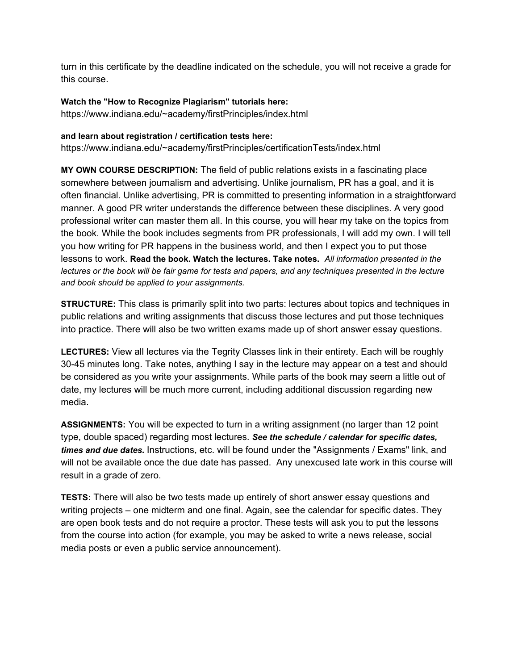turn in this certificate by the deadline indicated on the schedule, you will not receive a grade for this course.

**Watch the "How to Recognize Plagiarism" tutorials here:**

https://www.indiana.edu/~academy/firstPrinciples/index.html

## **and learn about registration / certification tests here:**

https://www.indiana.edu/~academy/firstPrinciples/certificationTests/index.html

**MY OWN COURSE DESCRIPTION:** The field of public relations exists in a fascinating place somewhere between journalism and advertising. Unlike journalism, PR has a goal, and it is often financial. Unlike advertising, PR is committed to presenting information in a straightforward manner. A good PR writer understands the difference between these disciplines. A very good professional writer can master them all. In this course, you will hear my take on the topics from the book. While the book includes segments from PR professionals, I will add my own. I will tell you how writing for PR happens in the business world, and then I expect you to put those lessons to work. **Read the book. Watch the lectures. Take notes.** *All information presented in the* lectures or the book will be fair game for tests and papers, and any techniques presented in the lecture *and book should be applied to your assignments.*

**STRUCTURE:** This class is primarily split into two parts: lectures about topics and techniques in public relations and writing assignments that discuss those lectures and put those techniques into practice. There will also be two written exams made up of short answer essay questions.

**LECTURES:** View all lectures via the Tegrity Classes link in their entirety. Each will be roughly 30-45 minutes long. Take notes, anything I say in the lecture may appear on a test and should be considered as you write your assignments. While parts of the book may seem a little out of date, my lectures will be much more current, including additional discussion regarding new media.

**ASSIGNMENTS:** You will be expected to turn in a writing assignment (no larger than 12 point type, double spaced) regarding most lectures. *See the schedule / calendar for specific dates, times and due dates.* Instructions, etc. will be found under the "Assignments / Exams" link, and will not be available once the due date has passed. Any unexcused late work in this course will result in a grade of zero.

**TESTS:** There will also be two tests made up entirely of short answer essay questions and writing projects – one midterm and one final. Again, see the calendar for specific dates. They are open book tests and do not require a proctor. These tests will ask you to put the lessons from the course into action (for example, you may be asked to write a news release, social media posts or even a public service announcement).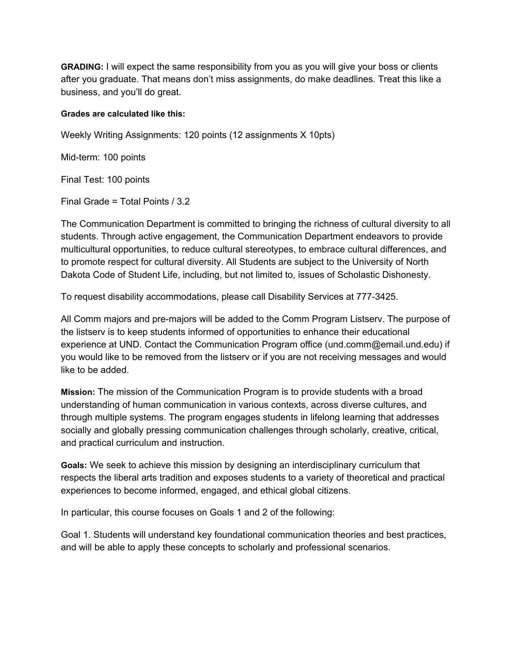**GRADING:** I will expect the same responsibility from you as you will give your boss or clients after you graduate. That means don't miss assignments, do make deadlines. Treat this like a business, and you'll do great.

## **Grades are calculated like this:**

Weekly Writing Assignments: 120 points (12 assignments X 10pts)

Mid-term: 100 points

Final Test: 100 points

Final Grade = Total Points / 3.2

The Communication Department is committed to bringing the richness of cultural diversity to all students. Through active engagement, the Communication Department endeavors to provide multicultural opportunities, to reduce cultural stereotypes, to embrace cultural differences, and to promote respect for cultural diversity. All Students are subject to the University of North Dakota Code of Student Life, including, but not limited to, issues of Scholastic Dishonesty.

To request disability accommodations, please call Disability Services at 777-3425.

All Comm majors and pre-majors will be added to the Comm Program Listserv. The purpose of the listserv is to keep students informed of opportunities to enhance their educational experience at UND. Contact the Communication Program office (und.comm@email.und.edu) if you would like to be removed from the listserv or if you are not receiving messages and would like to be added.

**Mission:** The mission of the Communication Program is to provide students with a broad understanding of human communication in various contexts, across diverse cultures, and through multiple systems. The program engages students in lifelong learning that addresses socially and globally pressing communication challenges through scholarly, creative, critical, and practical curriculum and instruction.

**Goals:** We seek to achieve this mission by designing an interdisciplinary curriculum that respects the liberal arts tradition and exposes students to a variety of theoretical and practical experiences to become informed, engaged, and ethical global citizens.

In particular, this course focuses on Goals 1 and 2 of the following:

Goal 1. Students will understand key foundational communication theories and best practices, and will be able to apply these concepts to scholarly and professional scenarios.